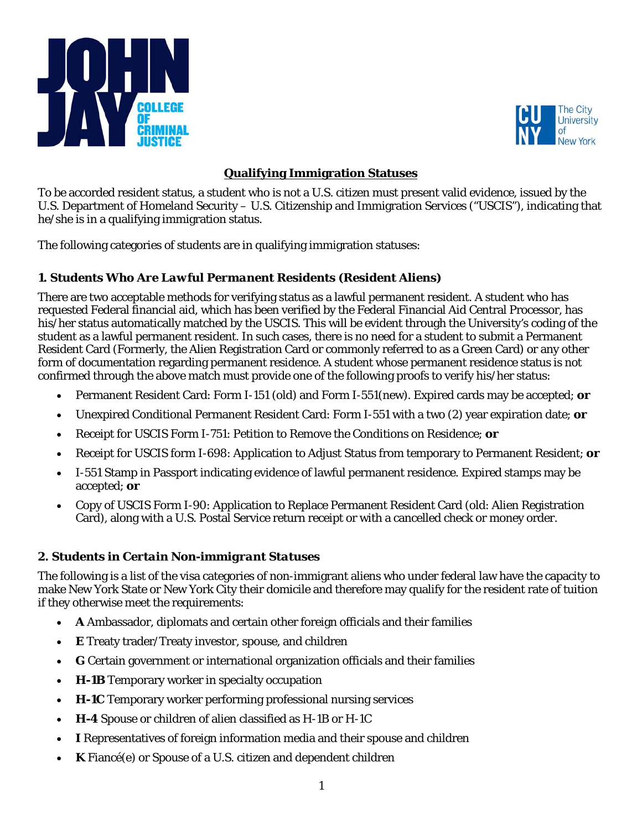



# **Qualifying Immigration Statuses**

To be accorded resident status, a student who is not a U.S. citizen must present valid evidence, issued by the U.S. Department of Homeland Security – U.S. Citizenship and Immigration Services ("USCIS"), indicating that he/she is in a qualifying immigration status.

The following categories of students are in qualifying immigration statuses:

# *1. Students Who Are Lawful Permanent Residents (Resident Aliens)*

There are two acceptable methods for verifying status as a lawful permanent resident. A student who has requested Federal financial aid, which has been verified by the Federal Financial Aid Central Processor, has his/her status automatically matched by the USCIS. This will be evident through the University's coding of the student as a lawful permanent resident. In such cases, there is no need for a student to submit a Permanent Resident Card (Formerly, the Alien Registration Card or commonly referred to as a Green Card) or any other form of documentation regarding permanent residence. A student whose permanent residence status is not confirmed through the above match must provide one of the following proofs to verify his/her status:

- Permanent Resident Card: Form I-151 (old) and Form I-551(new). Expired cards may be accepted; **or**
- Unexpired Conditional Permanent Resident Card: Form I-551 with a two (2) year expiration date; **or**
- Receipt for USCIS Form I-751: Petition to Remove the Conditions on Residence; **or**
- Receipt for USCIS form I-698: Application to Adjust Status from temporary to Permanent Resident; **or**
- I-551 Stamp in Passport indicating evidence of lawful permanent residence. Expired stamps may be accepted; **or**
- Copy of USCIS Form I-90: Application to Replace Permanent Resident Card (old: Alien Registration Card), along with a U.S. Postal Service return receipt or with a cancelled check or money order.

# *2. Students in Certain Non-immigrant Statuses*

The following is a list of the visa categories of non-immigrant aliens who under federal law have the capacity to make New York State or New York City their domicile and therefore may qualify for the resident rate of tuition if they otherwise meet the requirements:

- **A** Ambassador, diplomats and certain other foreign officials and their families
- **E** Treaty trader/Treaty investor, spouse, and children
- **G** Certain government or international organization officials and their families
- **H-1B** Temporary worker in specialty occupation
- **H-1C** Temporary worker performing professional nursing services
- **H-4** Spouse or children of alien classified as H-1B or H-1C
- **I** Representatives of foreign information media and their spouse and children
- **K** Fiancé(e) or Spouse of a U.S. citizen and dependent children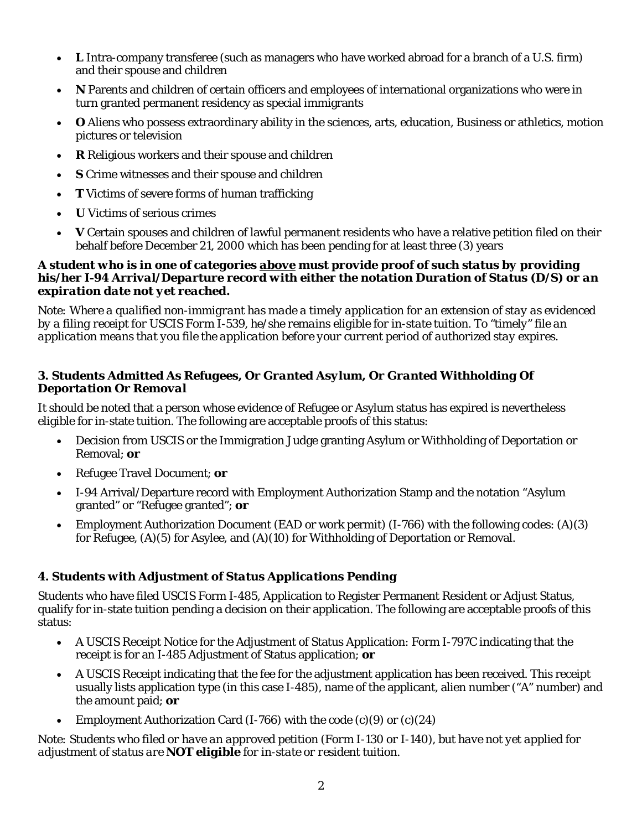- **L** Intra-company transferee (such as managers who have worked abroad for a branch of a U.S. firm) and their spouse and children
- **N** Parents and children of certain officers and employees of international organizations who were in turn granted permanent residency as special immigrants
- **O** Aliens who possess extraordinary ability in the sciences, arts, education, Business or athletics, motion pictures or television
- **R** Religious workers and their spouse and children
- **S** Crime witnesses and their spouse and children
- **T** Victims of severe forms of human trafficking
- **U** Victims of serious crimes
- **V** Certain spouses and children of lawful permanent residents who have a relative petition filed on their behalf before December 21, 2000 which has been pending for at least three (3) years

#### *A student who is in one of categories above must provide proof of such status by providing his/her I-94 Arrival/Departure record with either the notation Duration of Status (D/S) or an expiration date not yet reached.*

*Note: Where a qualified non-immigrant has made a timely application for an extension of stay as evidenced by a filing receipt for USCIS Form I-539, he/she remains eligible for in-state tuition. To "timely" file an application means that you file the application before your current period of authorized stay expires.* 

# *3. Students Admitted As Refugees, Or Granted Asylum, Or Granted Withholding Of Deportation Or Removal*

It should be noted that a person whose evidence of Refugee or Asylum status has expired is nevertheless eligible for in-state tuition. The following are acceptable proofs of this status:

- Decision from USCIS or the Immigration Judge granting Asylum or Withholding of Deportation or Removal; **or**
- Refugee Travel Document; **or**
- I-94 Arrival/Departure record with Employment Authorization Stamp and the notation "Asylum granted" or "Refugee granted"; **or**
- Employment Authorization Document (EAD or work permit) (I-766) with the following codes: (A)(3) for Refugee, (A)(5) for Asylee, and (A)(10) for Withholding of Deportation or Removal.

# *4. Students with Adjustment of Status Applications Pending*

Students who have filed USCIS Form I-485, Application to Register Permanent Resident or Adjust Status, qualify for in-state tuition pending a decision on their application. The following are acceptable proofs of this status:

- A USCIS Receipt Notice for the Adjustment of Status Application: Form I-797C indicating that the receipt is for an I-485 Adjustment of Status application; **or**
- A USCIS Receipt indicating that the fee for the adjustment application has been received. This receipt usually lists application type (in this case I-485), name of the applicant, alien number ("A" number) and the amount paid; **or**
- Employment Authorization Card (I-766) with the code  $(c)(9)$  or  $(c)(24)$

*Note: Students who filed or have an approved petition (Form I-130 or I-140), but have not yet applied for adjustment of status are NOT eligible for in-state or resident tuition.*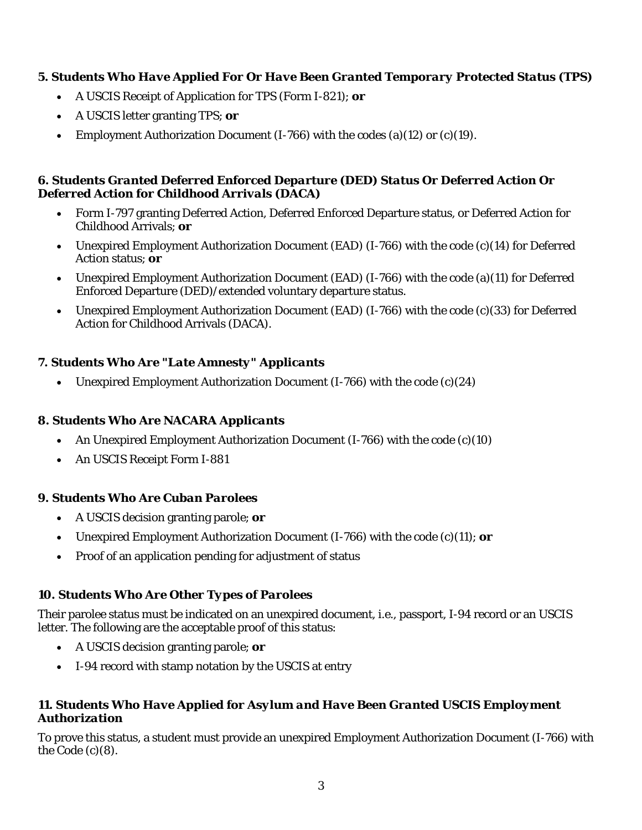### *5. Students Who Have Applied For Or Have Been Granted Temporary Protected Status (TPS)*

- A USCIS Receipt of Application for TPS (Form I-821); **or**
- A USCIS letter granting TPS; **or**
- Employment Authorization Document  $(I-766)$  with the codes  $(a)(12)$  or  $(c)(19)$ .

#### *6. Students Granted Deferred Enforced Departure (DED) Status Or Deferred Action Or Deferred Action for Childhood Arrivals (DACA)*

- Form I-797 granting Deferred Action, Deferred Enforced Departure status, or Deferred Action for Childhood Arrivals; **or**
- Unexpired Employment Authorization Document (EAD) (I-766) with the code (c)(14) for Deferred Action status; **or**
- Unexpired Employment Authorization Document (EAD) (I-766) with the code (a)(11) for Deferred Enforced Departure (DED)/extended voluntary departure status.
- Unexpired Employment Authorization Document (EAD) (I-766) with the code (c)(33) for Deferred Action for Childhood Arrivals (DACA).

### *7. Students Who Are "Late Amnesty" Applicants*

• Unexpired Employment Authorization Document  $(I-766)$  with the code  $(c)(24)$ 

#### *8. Students Who Are NACARA Applicants*

- An Unexpired Employment Authorization Document (I-766) with the code (c)(10)
- An USCIS Receipt Form I-881

#### *9. Students Who Are Cuban Parolees*

- A USCIS decision granting parole; **or**
- Unexpired Employment Authorization Document *(I-766)* with the code (c)(11); **or**
- Proof of an application pending for adjustment of status

# *10. Students Who Are Other Types of Parolees*

Their parolee status must be indicated on an unexpired document, i.e., passport, I-94 record or an USCIS letter. The following are the acceptable proof of this status:

- A USCIS decision granting parole; **or**
- I-94 record with stamp notation by the USCIS at entry

### *11. Students Who Have Applied for Asylum and Have Been Granted USCIS Employment Authorization*

To prove this status, a student must provide an unexpired Employment Authorization Document (I-766) with the Code (c)(8).